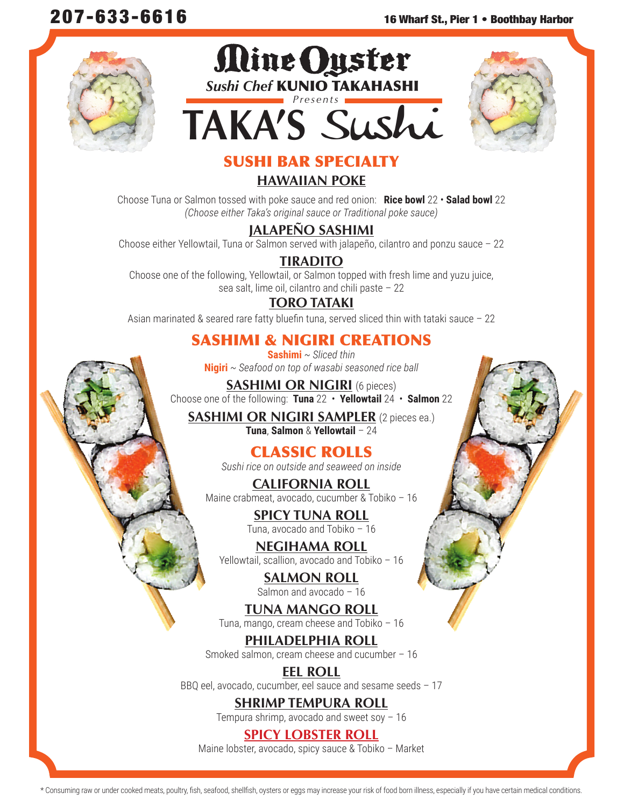





# SUSHI BAR SPECIALTY

## **HAWAIIAN POKE**

Choose Tuna or Salmon tossed with poke sauce and red onion: **Rice bowl** 22 • **Salad bowl** 22 *(Choose either Taka's original sauce or Traditional poke sauce)*

## **JALAPEÑO SASHIMI**

Choose either Yellowtail, Tuna or Salmon served with jalapeño, cilantro and ponzu sauce – 22

## **TIRADITO**

Choose one of the following, Yellowtail, or Salmon topped with fresh lime and yuzu juice, sea salt, lime oil, cilantro and chili paste – 22

# **TORO TATAKI**

Asian marinated & seared rare fatty bluefin tuna, served sliced thin with tataki sauce – 22

# SASHIMI & NIGIRI CREATIONS

**Sashimi** *~ Sliced thin* **Nigiri** *~ Seafood on top of wasabi seasoned rice ball*

**SASHIMI OR NIGIRI** (6 pieces) Choose one of the following: **Tuna** 22 • **Yellowtail** 24 • **Salmon** 22

**SASHIMI OR NIGIRI SAMPLER** (2 pieces ea.) **Tuna**, **Salmon** & **Yellowtail** – 24

# CLASSIC ROLLS

*Sushi rice on outside and seaweed on inside*

**CALIFORNIA ROLL** Maine crabmeat, avocado, cucumber & Tobiko – 16

> **SPICY TUNA ROLL** Tuna, avocado and Tobiko – 16

**NEGIHAMA ROLL** Yellowtail, scallion, avocado and Tobiko – 16

> **SALMON ROLL** Salmon and avocado – 16

**TUNA MANGO ROLL** Tuna, mango, cream cheese and Tobiko – 16

**PHILADELPHIA ROLL** Smoked salmon, cream cheese and cucumber – 16

**EEL ROLL** BBQ eel, avocado, cucumber, eel sauce and sesame seeds – 17

> **SHRIMP TEMPURA ROLL** Tempura shrimp, avocado and sweet soy – 16

# **SPICY LOBSTER ROLL**

Maine lobster, avocado, spicy sauce & Tobiko – Market

\* Consuming raw or under cooked meats, poultry, fish, seafood, shellfish, oysters or eggs may increase your risk of food born illness, especially if you have certain medical conditions.